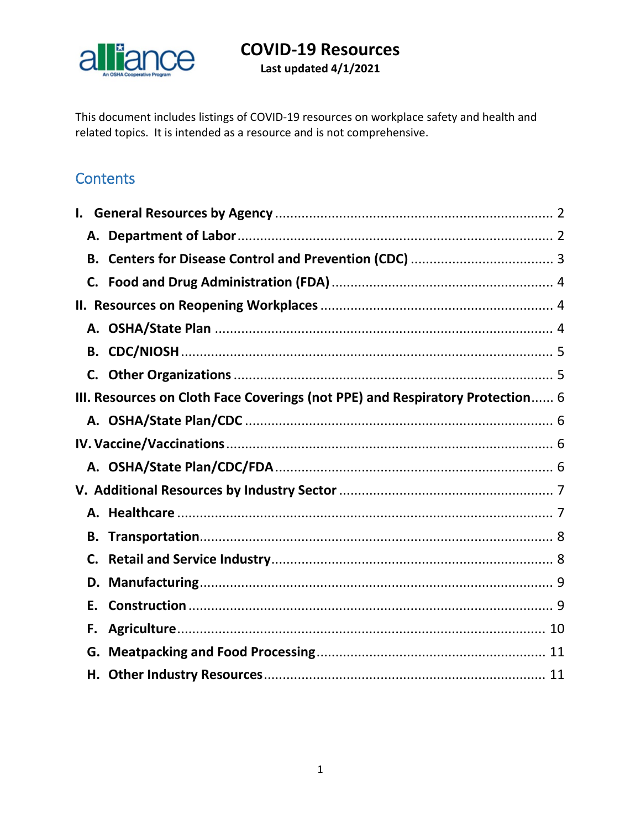

Last updated 4/1/2021

This document includes listings of COVID-19 resources on workplace safety and health and related topics. It is intended as a resource and is not comprehensive.

## **Contents**

| В.                                                                            |  |
|-------------------------------------------------------------------------------|--|
|                                                                               |  |
|                                                                               |  |
|                                                                               |  |
| В.                                                                            |  |
| C.                                                                            |  |
| III. Resources on Cloth Face Coverings (not PPE) and Respiratory Protection 6 |  |
|                                                                               |  |
|                                                                               |  |
|                                                                               |  |
|                                                                               |  |
|                                                                               |  |
| В.                                                                            |  |
| C.                                                                            |  |
| D.                                                                            |  |
| Е.                                                                            |  |
| F.                                                                            |  |
|                                                                               |  |
|                                                                               |  |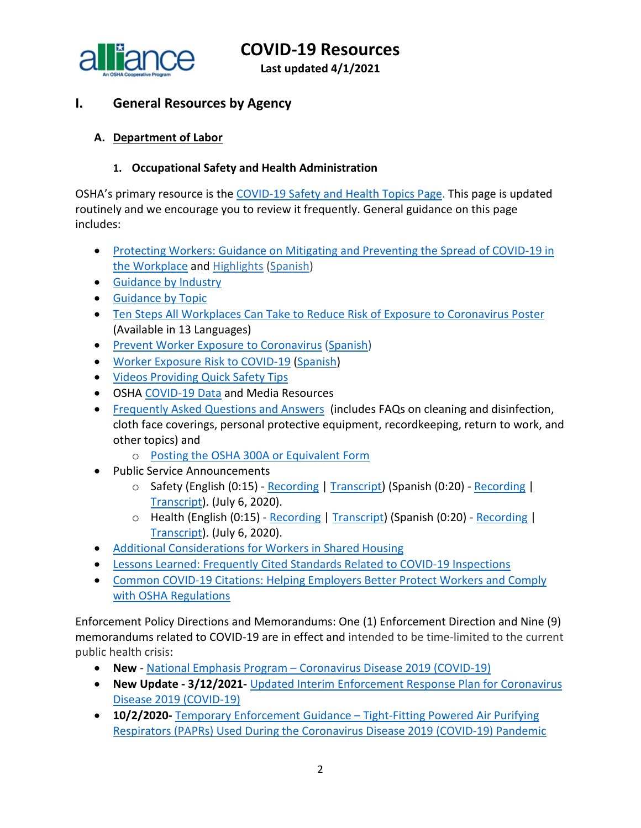a liance

**COVID-19 Resources**

**Last updated 4/1/2021**

## <span id="page-1-0"></span>**I. General Resources by Agency**

#### <span id="page-1-1"></span>**A. Department of Labor**

#### **1. Occupational Safety and Health Administration**

OSHA's primary resource is the [COVID-19 Safety and Health Topics Page.](https://www.osha.gov/SLTC/covid-19/) This page is updated routinely and we encourage you to review it frequently. General guidance on this page includes:

- [Protecting Workers: Guidance on Mitigating and Preventing the Spread of COVID-19 in](https://www.osha.gov/coronavirus/safework)  [the Workplace](https://www.osha.gov/coronavirus/safework) and [Highlights](https://www.osha.gov/sites/default/files/revised-preventing-spread-covid-19-highlights.pdf) [\(Spanish\)](https://www.osha.gov/sites/default/files/revised-preventing-spread-covid-19-highlights-sp.pdf)
- [Guidance by Industry](https://www.osha.gov/coronavirus/guidance/industry)
- [Guidance by Topic](https://www.osha.gov/coronavirus/guidance/topic)
- [Ten Steps All Workplaces Can Take to Reduce Risk of Exposure to Coronavirus Poster](https://www.osha.gov/publications/publication-products?publication_title=Ten+Steps+All+Workplaces+Can+Take+to+Reduce+Risk+of+Exposure+to+Coronavirus+Poster) (Available in 13 Languages)
- [Prevent Worker Exposure to Coronavirus](https://www.osha.gov/Publications/OSHA3989.pdf) [\(Spanish\)](https://www.osha.gov/Publications/OSHA3991.pdf)
- [Worker Exposure Risk to COVID-19](https://gcc01.safelinks.protection.outlook.com/?url=https%3A%2F%2Fwww.osha.gov%2FPublications%2FOSHA3993.pdf&data=02%7C01%7CJones.Tina%40dol.gov%7C6e2c3b1ce10f40013c9508d7da6a3123%7C75a6305472044e0c9126adab971d4aca%7C0%7C0%7C637218021941315643&sdata=8Qkg7qXjpicIogFQP3X08rJ7n0TVWggPMgQvrxMnfMc%3D&reserved=0) [\(Spanish\)](https://gcc01.safelinks.protection.outlook.com/?url=https%3A%2F%2Fwww.osha.gov%2FPublications%2FOSHA3993SP.pdf&data=02%7C01%7CJones.Tina%40dol.gov%7C6e2c3b1ce10f40013c9508d7da6a3123%7C75a6305472044e0c9126adab971d4aca%7C0%7C0%7C637218021941315643&sdata=SnppZp%2FLhoXUhx07kT828WxpRx9EzG34cXCHI%2BTN8nk%3D&reserved=0)
- [Videos Providing Quick Safety Tips](https://www.osha.gov/#covidVideos)
- OSHA [COVID-19 Data](https://www.osha.gov/news) and Media Resources
- [Frequently Asked Questions and Answers](https://www.osha.gov/SLTC/covid-19/covid-19-faq.html) (includes FAQs on cleaning and disinfection, cloth face coverings, personal protective equipment, recordkeeping, return to work, and other topics) and
	- o [Posting the OSHA 300A or Equivalent Form](https://www.osha.gov/coronavirus/faqs#form300a)
- Public Service Announcements
	- o Safety (English (0:15) [Recording](https://www.osha.gov/sites/default/files/OSHA_SHW_RadioSpot1_Eng.mp3) | [Transcript\)](https://www.osha.gov/psa#covid1en) (Spanish (0:20) [Recording](https://www.osha.gov/sites/default/files/OSHA_SHW_RadioSpot1_Span.mp3) | [Transcript\)](https://www.osha.gov/psa#covid1sp). (July 6, 2020).
	- o Health (English (0:15) [Recording](https://www.osha.gov/sites/default/files/OSHA_SHW_RadioSpot2_Eng.mp3) | [Transcript\)](https://www.osha.gov/psa#covid2en) (Spanish (0:20) [Recording](https://www.osha.gov/sites/default/files/OSHA_SHW_RadioSpot2_Span.mp3) | [Transcript\)](https://www.osha.gov/psa#covid2sp). (July 6, 2020).
- [Additional Considerations for Workers in Shared Housing](https://www.osha.gov/SLTC/covid-19/workers-in-shared-housing.html)
- [Lessons Learned: Frequently Cited Standards Related to COVID-19 Inspections](https://www.osha.gov/SLTC/covid-19/covid-citations-lessons.pdf)
- [Common COVID-19 Citations: Helping Employers Better Protect Workers and Comply](https://www.osha.gov/SLTC/covid-19/covid-citations-guidance.pdf)  [with OSHA Regulations](https://www.osha.gov/SLTC/covid-19/covid-citations-guidance.pdf)

Enforcement Policy Directions and Memorandums: One (1) Enforcement Direction and Nine (9) memorandums related to COVID-19 are in effect and intended to be time-limited to the current public health crisis:

- **New** National Emphasis Program [Coronavirus Disease 2019 \(COVID-19\)](https://www.osha.gov/sites/default/files/enforcement/directives/DIR_2021-01_CPL-03.pdf)
- **New Update - 3/12/2021-** [Updated Interim Enforcement Response Plan for Coronavirus](https://www.osha.gov/memos/2021-03-12/updated-interim-enforcement-response-plan-coronavirus-disease-2019-covid-19)  [Disease 2019 \(COVID-19\)](https://www.osha.gov/memos/2021-03-12/updated-interim-enforcement-response-plan-coronavirus-disease-2019-covid-19)
- **10/2/2020-** [Temporary Enforcement Guidance –](https://www.osha.gov/memos/2020-10-02/temporary-enforcement-guidance-tight-fitting-powered-air-purifying-respirators) Tight-Fitting Powered Air Purifying [Respirators \(PAPRs\) Used During the Coronavirus Disease 2019 \(COVID-19\) Pandemic](https://www.osha.gov/memos/2020-10-02/temporary-enforcement-guidance-tight-fitting-powered-air-purifying-respirators)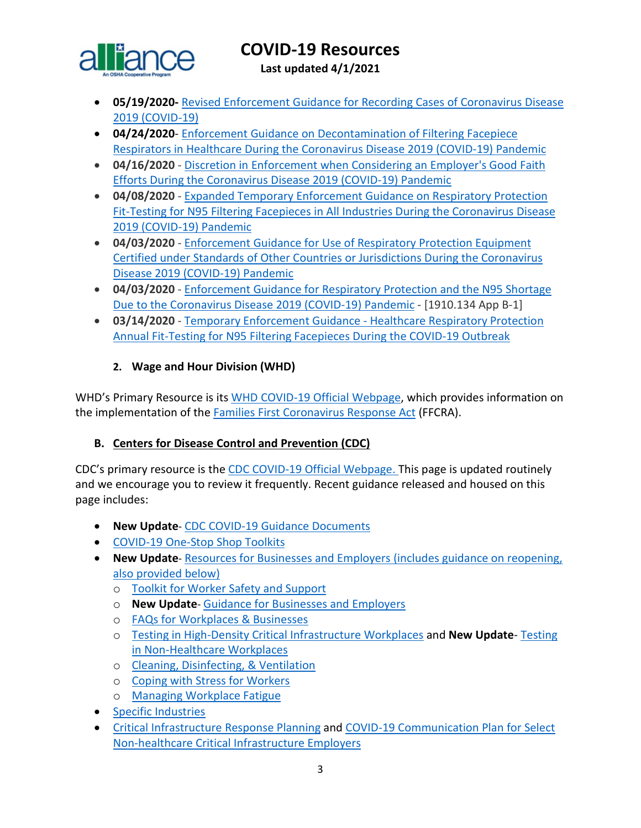

**Last updated 4/1/2021**

- **05/19/2020-** [Revised Enforcement Guidance for Recording Cases of Coronavirus Disease](https://www.osha.gov/memos/2020-05-19/revised-enforcement-guidance-recording-cases-coronavirus-disease-2019-covid-19)  [2019 \(COVID-19\)](https://www.osha.gov/memos/2020-05-19/revised-enforcement-guidance-recording-cases-coronavirus-disease-2019-covid-19)
- **04/24/2020** [Enforcement Guidance on Decontamination of Filtering Facepiece](https://www.osha.gov/memos/2020-04-24/enforcement-guidance-decontamination-filtering-facepiece-respirators-healthcare)  [Respirators in Healthcare During the Coronavirus Disease 2019](https://www.osha.gov/memos/2020-04-24/enforcement-guidance-decontamination-filtering-facepiece-respirators-healthcare) (COVID-19) Pandemic
- **04/16/2020**  [Discretion in Enforcement when Considering an Employer's Good Faith](https://www.osha.gov/memos/2020-04-16/discretion-enforcement-when-considering-employers-good-faith-efforts-during)  [Efforts During the Coronavirus Disease 2019 \(COVID-19\) Pandemic](https://www.osha.gov/memos/2020-04-16/discretion-enforcement-when-considering-employers-good-faith-efforts-during)
- **04/08/2020**  [Expanded Temporary Enforcement Guidance on Respiratory Protection](https://www.osha.gov/memos/2020-04-08/expanded-temporary-enforcement-guidance-respiratory-protection-fit-testing-n95)  [Fit-Testing for N95 Filtering Facepieces in All Industries During the Coronavirus Disease](https://www.osha.gov/memos/2020-04-08/expanded-temporary-enforcement-guidance-respiratory-protection-fit-testing-n95)  [2019 \(COVID-19\) Pandemic](https://www.osha.gov/memos/2020-04-08/expanded-temporary-enforcement-guidance-respiratory-protection-fit-testing-n95)
- **04/03/2020**  [Enforcement Guidance for Use of Respiratory Protection Equipment](https://www.osha.gov/memos/2020-04-03/enforcement-guidance-use-respiratory-protection-equipment-certified-under)  [Certified under Standards of Other Countries or Jurisdictions During the Coronavirus](https://www.osha.gov/memos/2020-04-03/enforcement-guidance-use-respiratory-protection-equipment-certified-under)  [Disease 2019 \(COVID-19\) Pandemic](https://www.osha.gov/memos/2020-04-03/enforcement-guidance-use-respiratory-protection-equipment-certified-under)
- **04/03/2020**  [Enforcement Guidance for Respiratory Protection and the N95 Shortage](https://www.osha.gov/memos/2020-04-03/enforcement-guidance-respiratory-protection-and-n95-shortage-due-coronavirus)  [Due to the Coronavirus Disease 2019 \(COVID-19\) Pandemic](https://www.osha.gov/memos/2020-04-03/enforcement-guidance-respiratory-protection-and-n95-shortage-due-coronavirus) - [1910.134 App B-1]
- **03/14/2020**  [Temporary Enforcement Guidance -](https://www.osha.gov/memos/2020-03-14/temporary-enforcement-guidance-healthcare-respiratory-protection-annual-fit) Healthcare Respiratory Protection [Annual Fit-Testing for N95 Filtering Facepieces During the COVID-19 Outbreak](https://www.osha.gov/memos/2020-03-14/temporary-enforcement-guidance-healthcare-respiratory-protection-annual-fit)

#### **2. Wage and Hour Division (WHD)**

WHD's Primary Resource is its [WHD COVID-19 Official Webpage,](https://www.dol.gov/agencies/whd/pandemic) which provides information on the implementation of the [Families First Coronavirus Response Act](https://www.dol.gov/agencies/whd/ffcra) (FFCRA).

#### <span id="page-2-0"></span>**B. Centers for Disease Control and Prevention (CDC)**

CDC's primary resource is the [CDC COVID-19 Official Webpage.](https://www.cdc.gov/coronavirus/2019-nCoV/index.html) This page is updated routinely and we encourage you to review it frequently. Recent guidance released and housed on this page includes:

- **New Update** [CDC COVID-19 Guidance Documents](https://www.cdc.gov/coronavirus/2019-ncov/communication/guidance-list.html?Sort=Date%3A%3Adesc)
- [COVID-19 One-Stop Shop Toolkits](https://www.cdc.gov/coronavirus/2019-ncov/communication/toolkits/index.html)
- **New Update** [Resources for Businesses and Employers \(includes guidance on reopening,](https://www.cdc.gov/coronavirus/2019-ncov/community/organizations/businesses-employers.html)  [also provided below\)](https://www.cdc.gov/coronavirus/2019-ncov/community/organizations/businesses-employers.html)
	- o [Toolkit for Worker Safety and Support](https://www.cdc.gov/coronavirus/2019-ncov/communication/toolkits/employees-and-worker-safety.html)
	- o **New Update** [Guidance for Businesses and Employers](https://www.cdc.gov/coronavirus/2019-ncov/community/guidance-business-response.html)
	- o [FAQs for Workplaces & Businesses](https://www.cdc.gov/coronavirus/2019-ncov/community/general-business-faq.html)
	- o [Testing in High-Density Critical Infrastructure Workplaces](https://www.cdc.gov/coronavirus/2019-ncov/community/worker-safety-support/hd-testing.html) and **New Update** [Testing](https://www.cdc.gov/coronavirus/2019-ncov/community/organizations/testing-non-healthcare-workplaces.html?deliveryName=USCDC_10_4-DM32782)  [in Non-Healthcare Workplaces](https://www.cdc.gov/coronavirus/2019-ncov/community/organizations/testing-non-healthcare-workplaces.html?deliveryName=USCDC_10_4-DM32782)
	- o [Cleaning, Disinfecting, & Ventilation](https://www.cdc.gov/coronavirus/2019-ncov/community/clean-disinfect/index.html)
	- o [Coping with Stress for Workers](https://www.cdc.gov/coronavirus/2019-ncov/community/mental-health-non-healthcare.html?deliveryName=USCDC_10_4-DM27902)
	- o [Managing Workplace Fatigue](https://www.cdc.gov/coronavirus/2019-ncov/hcp/managing-workplace-fatigue.html?deliveryName=USCDC_10_4-DM27902)
- [Specific Industries](https://www.cdc.gov/coronavirus/2019-ncov/community/worker-safety-support/index.html)
- [Critical Infrastructure Response Planning](https://www.cdc.gov/coronavirus/2019-ncov/community/critical-workers/implementing-safety-practices.html?deliveryName=USCDC_10_4-DM27902) and [COVID-19 Communication Plan for Select](https://www.cdc.gov/coronavirus/2019-ncov/community/communication-plan.html?deliveryName=USCDC_10_4-DM34769)  [Non-healthcare Critical Infrastructure Employers](https://www.cdc.gov/coronavirus/2019-ncov/community/communication-plan.html?deliveryName=USCDC_10_4-DM34769)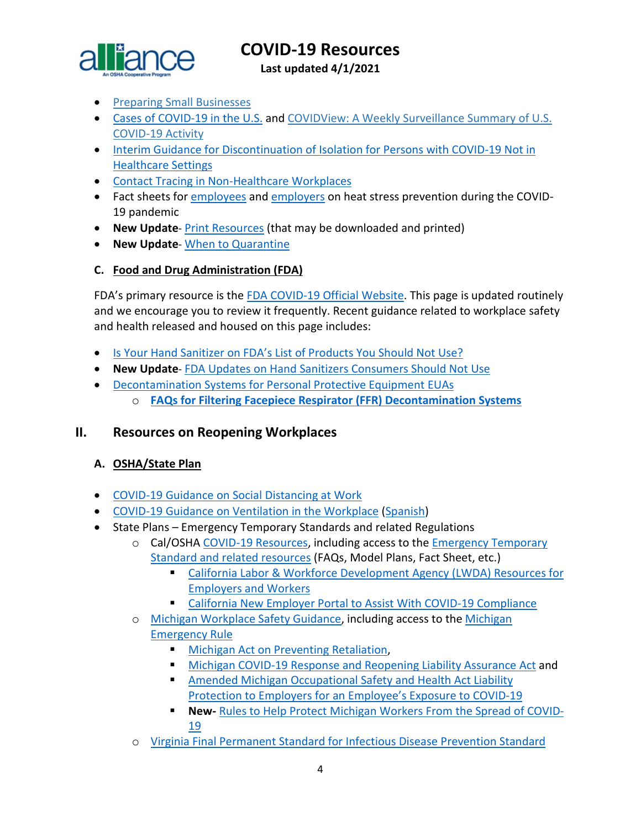

**Last updated 4/1/2021**

- [Preparing Small Businesses](https://gcc01.safelinks.protection.outlook.com/?url=https%3A%2F%2Fwww.cdc.gov%2Fcoronavirus%2F2019-ncov%2Fcommunity%2Fguidance-small-business.html&data=02%7C01%7CLee.Joey.C%40dol.gov%7Cd3f028a2390845ad13b208d7e073765f%7C75a6305472044e0c9126adab971d4aca%7C0%7C0%7C637224658823422112&sdata=afIVXnYi82UYP1zyR2iOZP07LFSoUrCLAneLSEqORqU%3D&reserved=0)
- [Cases of COVID-19 in the U.S.](https://www.cdc.gov/coronavirus/2019-ncov/cases-updates/cases-in-us.html) and [COVIDView: A Weekly Surveillance Summary of U.S.](https://www.cdc.gov/coronavirus/2019-ncov/covid-data/covidview/index.html?CDC_AA_refVal=https%3A%2F%2Fwww.cdc.gov%2Fcoronavirus%2F2019-ncov%252)  [COVID-19 Activity](https://www.cdc.gov/coronavirus/2019-ncov/covid-data/covidview/index.html?CDC_AA_refVal=https%3A%2F%2Fwww.cdc.gov%2Fcoronavirus%2F2019-ncov%252)
- [Interim Guidance for Discontinuation of Isolation for Persons with COVID-19 Not in](https://www.cdc.gov/coronavirus/2019-ncov/hcp/disposition-in-home-patients.html?deliveryName=USCDC_10_4-DM33737)  [Healthcare Settings](https://www.cdc.gov/coronavirus/2019-ncov/hcp/disposition-in-home-patients.html?deliveryName=USCDC_10_4-DM33737)
- [Contact Tracing in Non-Healthcare Workplaces](https://www.cdc.gov/coronavirus/2019-ncov/community/contact-tracing-nonhealthcare-workplaces.html?deliveryName=USCDC_10_4-DM34769)
- Fact sheets for [employees](https://www.cdc.gov/coronavirus/2019-ncov/community/organizations/heat-stress-employees.html) and [employers](https://www.cdc.gov/coronavirus/2019-ncov/community/organizations/heat-stress-employers.html) on heat stress prevention during the COVID-19 pandemic
- **New Update** [Print Resources](https://www.cdc.gov/coronavirus/2019-ncov/communication/print-resources.html?Sort=Date%3A%3Adesc) (that may be downloaded and printed)
- **New Update** [When to Quarantine](https://www.cdc.gov/coronavirus/2019-ncov/if-you-are-sick/quarantine.html)

#### <span id="page-3-0"></span>**C. Food and Drug Administration (FDA)**

FDA's primary resource is the [FDA COVID-19 Official Website.](https://www.fda.gov/emergency-preparedness-and-response/counterterrorism-and-emerging-threats/coronavirus-disease-2019-covid-19) This page is updated routinely and we encourage you to review it frequently. Recent guidance related to workplace safety and health released and housed on this page includes:

- [Is Your Hand Sanitizer on FDA's List of Products You Should Not Use?](https://www.fda.gov/consumers/consumer-updates/your-hand-sanitizer-fdas-list-products-you-should-not-use?utm_campaign=082520_PR_Coronavirus%20%28COVID-19%29%20Update%3A%20Daily%20Roundup%20August%2025%2C%202020&utm_medium=email&utm_source=Eloqua)
- **New Update** [FDA Updates on Hand Sanitizers Consumers Should Not Use](https://www.fda.gov/drugs/drug-safety-and-availability/fda-updates-hand-sanitizers-consumers-should-not-use?utm_campaign=082520_PR_Coronavirus%20%28COVID-19%29%20Update%3A%20Daily%20Roundup%20August%2025%2C%202020&utm_medium=email&utm_source=Eloqua#5f47ae8cd1538)
- [Decontamination Systems for Personal Protective Equipment EUAs](https://www.fda.gov/medical-devices/coronavirus-disease-2019-covid-19-emergency-use-authorizations-medical-devices/decontamination-systems-personal-protective-equipment-euas)
	- o **[FAQs for Filtering Facepiece Respirator \(FFR\) Decontamination Systems](https://www.fda.gov/medical-devices/coronavirus-covid-19-and-medical-devices/faqs-filtering-facepiece-respirator-ffr-decontamination-systems?utm_medium=email&utm_source=govdelivery)**

#### <span id="page-3-1"></span>**II. Resources on Reopening Workplaces**

#### <span id="page-3-2"></span>**A. OSHA/State Plan**

- [COVID-19 Guidance on Social Distancing at Work](https://www.osha.gov/Publications/OSHA4027.pdf)
- [COVID-19 Guidance on Ventilation in the Workplace](https://www.osha.gov/Publications/OSHA4103.pdf) [\(Spanish\)](https://www.osha.gov/Publications/OSHA4104.pdf)
- State Plans Emergency Temporary Standards and related Regulations
	- o Cal/OSHA [COVID-19 Resources,](https://www.dir.ca.gov/dosh/coronavirus/) including access to th[e Emergency Temporary](https://www.dir.ca.gov/dosh/coronavirus/ETS.html)  [Standard and related resources](https://www.dir.ca.gov/dosh/coronavirus/ETS.html) (FAQs, Model Plans, Fact Sheet, etc.)
		- [California Labor & Workforce Development Agency \(LWDA\) Resources for](https://www.labor.ca.gov/coronavirus2019/#chart)  [Employers and Workers](https://www.labor.ca.gov/coronavirus2019/#chart)
		- [California New Employer Portal to Assist With COVID-19 Compliance](https://saferatwork.covid19.ca.gov/employers/#employer-portal)
	- o [Michigan Workplace Safety Guidance,](https://www.michigan.gov/leo/0,5863,7-336-100207---,00.html) including access to the Michigan [Emergency Rule](https://www.michigan.gov/documents/leo/Final_MIOSHA_Rules_705164_7.pdf)
		- **[Michigan Act on Preventing Retaliation,](http://www.legislature.mi.gov/documents/2019-2020/billenrolled/House/pdf/2020-HNB-6032.pdf)**
		- [Michigan COVID-19 Response and Reopening Liability Assurance Act](http://www.legislature.mi.gov/documents/2019-2020/billenrolled/House/pdf/2020-HNB-6030.pdf) and
		- [Amended Michigan Occupational Safety and Health Act Liability](http://www.legislature.mi.gov/documents/2019-2020/billenrolled/House/pdf/2020-HNB-6031.pdf)  [Protection to Employers for an Employee's Exposure to COVID-19](http://www.legislature.mi.gov/documents/2019-2020/billenrolled/House/pdf/2020-HNB-6031.pdf)
		- **New-** [Rules to Help Protect Michigan Workers From the Spread of COVID-](https://www.michigan.gov/leo/0,5863,7-336-76741-555024--,00.html)[19](https://www.michigan.gov/leo/0,5863,7-336-76741-555024--,00.html)
	- o [Virginia Final Permanent Standard for Infectious Disease Prevention](https://www.doli.virginia.gov/proposed-permanent-standard-for-infectious-disease-prevention-for-covid-19/) Standard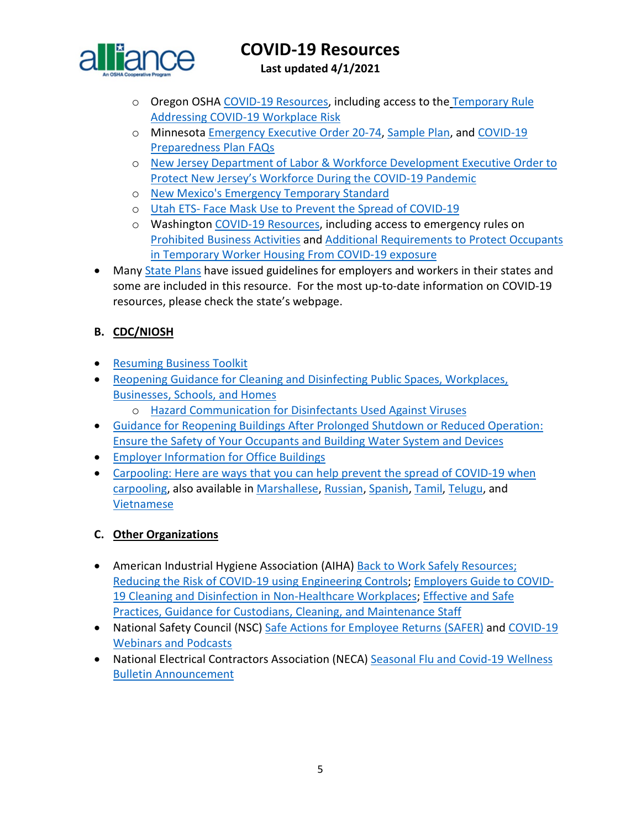

**Last updated 4/1/2021**

- o Oregon OSH[A COVID-19 Resources,](https://osha.oregon.gov/covid19/Pages/default.aspx) including access to the [Temporary Rule](https://osha.oregon.gov/OSHARules/div1/437-001-0744.pdf)  [Addressing COVID-19 Workplace Risk](https://osha.oregon.gov/OSHARules/div1/437-001-0744.pdf)
- o Minnesota [Emergency Executive Order 20-74,](https://mn.gov/governor/assets/EO%2020-74%20Final_tcm1055-437539.pdf) [Sample Plan,](http://www.dli.mn.gov/sites/default/files/doc/COVID_19_business_plan_template.docx) and [COVID-19](https://www.dli.mn.gov/sites/default/files/pdf/COVID_19_preparedness_plans_industry_guidance_FAQs.pdf)  [Preparedness Plan FAQs](https://www.dli.mn.gov/sites/default/files/pdf/COVID_19_preparedness_plans_industry_guidance_FAQs.pdf)
- o [New Jersey Department of Labor & Workforce Development Executive Order to](https://nj.gov/infobank/eo/056murphy/pdf/EO-192.pdf?_ga=2.161068477.1413891878.1603977019-1458229417.1603977019)  [Protect New Jersey's Workforce During the COVID-19 Pandemic](https://nj.gov/infobank/eo/056murphy/pdf/EO-192.pdf?_ga=2.161068477.1413891878.1603977019-1458229417.1603977019)
- o New Mexico's [Emergency Temporary Standard](https://www.env.nm.gov/wp-content/uploads/2020/03/Emergency-Amendment-to-11.5.1.16-final.pdf)
- o Utah ETS- [Face Mask Use to Prevent the Spread of COVID-19](https://laborcommission.utah.gov/divisions/uosh/emergency-rule/)
- o Washington [COVID-19 Resources,](https://lni.wa.gov/safety-health/safety-topics/topics/coronavirus#requirements-and-policies) including access to emergency rules on [Prohibited Business Activities](https://lni.wa.gov/rulemaking-activity/AO21-02/2102CR103EAdoption.pdf) an[d Additional Requirements to Protect Occupants](https://lni.wa.gov/rulemaking-activity/AO21-01/2101CR103EAdoption.pdf)  [in Temporary Worker Housing From COVID-19 exposure](https://lni.wa.gov/rulemaking-activity/AO21-01/2101CR103EAdoption.pdf)
- Many [State Plans](https://www.osha.gov/stateplans) have issued guidelines for employers and workers in their states and some are included in this resource. For the most up-to-date information on COVID-19 resources, please check the state's webpage.

#### <span id="page-4-0"></span>**B. CDC/NIOSH**

- [Resuming Business Toolkit](https://www.cdc.gov/coronavirus/2019-ncov/community/resuming-business-toolkit.html?deliveryName=USCDC_10_4-DM29483)
- [Reopening Guidance for Cleaning and Disinfecting Public Spaces, Workplaces,](https://www.cdc.gov/coronavirus/2019-ncov/community/reopen-guidance.html?deliveryName=USCDC_10_4-DM27264)  [Businesses, Schools, and Homes](https://www.cdc.gov/coronavirus/2019-ncov/community/reopen-guidance.html?deliveryName=USCDC_10_4-DM27264)
	- o [Hazard Communication for Disinfectants Used Against Viruses](https://www.cdc.gov/niosh/topics/disinfectant/default.html?deliveryName=USCDC_10_4-DM35971)
- [Guidance for Reopening Buildings After Prolonged Shutdown or Reduced Operation:](https://www.cdc.gov/coronavirus/2019-ncov/php/building-water-system.html)  [Ensure the Safety of Your Occupants and Building](https://www.cdc.gov/coronavirus/2019-ncov/php/building-water-system.html) Water System and Devices
- [Employer Information for Office Buildings](https://www.cdc.gov/coronavirus/2019-ncov/community/office-buildings.html?deliveryName=USCDC_10_4-DM29483)
- [Carpooling: Here are ways that you can help prevent the spread of COVID-19 when](https://www.cdc.gov/coronavirus/2019-ncov/downloads/community/organizations/carpooling-fs.pdf?deliveryName=USCDC_10_4-DM34769)  [carpooling,](https://www.cdc.gov/coronavirus/2019-ncov/downloads/community/organizations/carpooling-fs.pdf?deliveryName=USCDC_10_4-DM34769) also available in [Marshallese,](https://gcc02.safelinks.protection.outlook.com/?url=https%3A%2F%2Ft.emailupdates.cdc.gov%2Fr%2F%3Fid%3Dh28e36777%2C120d5047%2C120d7b03&data=02%7C01%7CJones.Tina%40dol.gov%7Cd57c418e7ca1432a08b408d84061c3ee%7C75a6305472044e0c9126adab971d4aca%7C0%7C0%7C637330135927413142&sdata=RsA38qXh2xN6qXR4Ps53vufSy2KsPalG130fEhM97Uw%3D&reserved=0) [Russian,](https://gcc02.safelinks.protection.outlook.com/?url=https%3A%2F%2Ft.emailupdates.cdc.gov%2Fr%2F%3Fid%3Dh28e36777%2C120d5047%2C120d7b04&data=02%7C01%7CJones.Tina%40dol.gov%7Cd57c418e7ca1432a08b408d84061c3ee%7C75a6305472044e0c9126adab971d4aca%7C0%7C0%7C637330135927413142&sdata=L3x6oWTT2qlFicjyB5%2BElmTcgmXFqPE%2FMHzGS2h72II%3D&reserved=0) [Spanish,](https://gcc02.safelinks.protection.outlook.com/?url=https%3A%2F%2Ft.emailupdates.cdc.gov%2Fr%2F%3Fid%3Dh28e36777%2C120d5047%2C120d7b05&data=02%7C01%7CJones.Tina%40dol.gov%7Cd57c418e7ca1432a08b408d84061c3ee%7C75a6305472044e0c9126adab971d4aca%7C0%7C0%7C637330135927413142&sdata=o6WoBVYHtWbCZQt6Oi3Cmq3c7mcnLmAoVK1E9o7K%2FLM%3D&reserved=0) [Tamil,](https://gcc02.safelinks.protection.outlook.com/?url=https%3A%2F%2Ft.emailupdates.cdc.gov%2Fr%2F%3Fid%3Dh28e36777%2C120d5047%2C120d7b06&data=02%7C01%7CJones.Tina%40dol.gov%7Cd57c418e7ca1432a08b408d84061c3ee%7C75a6305472044e0c9126adab971d4aca%7C0%7C0%7C637330135927423136&sdata=pvaJELjmctINVBLybwZ69a336WGtZ2t1Qi0d4KZxw%2FI%3D&reserved=0) [Telugu,](https://gcc02.safelinks.protection.outlook.com/?url=https%3A%2F%2Ft.emailupdates.cdc.gov%2Fr%2F%3Fid%3Dh28e36777%2C120d5047%2C120d7b07&data=02%7C01%7CJones.Tina%40dol.gov%7Cd57c418e7ca1432a08b408d84061c3ee%7C75a6305472044e0c9126adab971d4aca%7C0%7C0%7C637330135927423136&sdata=UBtZcT%2F6gjcND0GAdE6DTg0NQHpCLHHqKnFxZRB7plA%3D&reserved=0) and [Vietnamese](https://gcc02.safelinks.protection.outlook.com/?url=https%3A%2F%2Ft.emailupdates.cdc.gov%2Fr%2F%3Fid%3Dh28e36777%2C120d5047%2C120d7b62&data=02%7C01%7CJones.Tina%40dol.gov%7Cd57c418e7ca1432a08b408d84061c3ee%7C75a6305472044e0c9126adab971d4aca%7C0%7C0%7C637330135927433131&sdata=YRvAiK1ixIfpPdONkVuHCHsVnPpk6GCnkk42Oxrn0ME%3D&reserved=0)

#### <span id="page-4-1"></span>**C. Other Organizations**

- American Industrial Hygiene Association (AIHA) [Back to Work Safely Resources;](https://www.backtoworksafely.org/) [Reducing the Risk of COVID-19 using Engineering Controls;](https://aiha-assets.sfo2.digitaloceanspaces.com/AIHA/resources/Guidance-Documents/Reducing-the-Risk-of-COVID-19-using-Engineering-Controls-Guidance-Document.pdf) [Employers Guide to COVID-](https://aiha-assets.sfo2.digitaloceanspaces.com/AIHA/resources/Guidance-Documents/Employers-Guide-to-COVID-Cleaning-and-Disinfection-in-Non-Healthcare-Workplaces-Guidance-Document.pdf)[19 Cleaning and Disinfection in Non-Healthcare Workplaces;](https://aiha-assets.sfo2.digitaloceanspaces.com/AIHA/resources/Guidance-Documents/Employers-Guide-to-COVID-Cleaning-and-Disinfection-in-Non-Healthcare-Workplaces-Guidance-Document.pdf) [Effective and Safe](https://aiha-assets.sfo2.digitaloceanspaces.com/AIHA/resources/Guidance-Documents/Effective-and-Safe-Practices-Guidance-for-Custodians-Cleaning-and-Maintenance-Staff-Guidance-Document.pdf)  [Practices, Guidance for Custodians, Cleaning, and Maintenance Staff](https://aiha-assets.sfo2.digitaloceanspaces.com/AIHA/resources/Guidance-Documents/Effective-and-Safe-Practices-Guidance-for-Custodians-Cleaning-and-Maintenance-Staff-Guidance-Document.pdf)
- National Safety Council (NSC) [Safe Actions for Employee Returns \(SAFER\)](https://www.nsc.org/work-safety/safety-topics/safe-actions-for-employee-returns-safer) and [COVID-19](https://www.nsc.org/workplace/safety-topics/coronavirus/webinars)  [Webinars and Podcasts](https://www.nsc.org/workplace/safety-topics/coronavirus/webinars)
- National Electrical Contractors Association (NECA) Seasonal Flu and Covid-19 Wellness [Bulletin Announcement](http://www.neca-neis.org/powerlinesafety/press-room/detail-page/powerline-safety-press-releases/2020/10/12/flu-wellness-bulletin-announcement)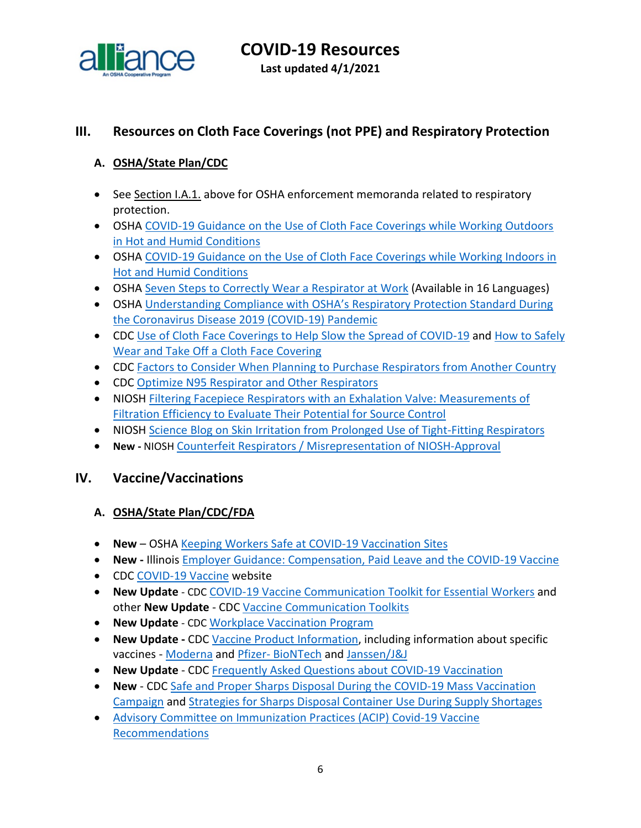

## <span id="page-5-0"></span>**III. Resources on Cloth Face Coverings (not PPE) and Respiratory Protection**

#### <span id="page-5-1"></span>**A. OSHA/State Plan/CDC**

- See Section I.A.1. above for OSHA enforcement memoranda related to respiratory protection.
- OSHA [COVID-19 Guidance on the Use of Cloth Face Coverings while Working Outdoors](https://www.osha.gov/SLTC/heatstress/covid-19-cloth-coverings-outdoor-heat.pdf)  [in Hot and Humid Conditions](https://www.osha.gov/SLTC/heatstress/covid-19-cloth-coverings-outdoor-heat.pdf)
- OSHA COVID-19 Guidance on the Use of Cloth Face Coverings while Working Indoors in [Hot and Humid Conditions](https://www.osha.gov/SLTC/heatstress/covid-19-cloth-coverings-indoor-heat.pdf)
- OSHA [Seven Steps to Correctly Wear a Respirator at Work](https://www.osha.gov/publications/publication-products?publication_title=Seven+Steps+to+Correctly+Wear+a+Respirator+at+Work) (Available in 16 Languages)
- OSHA [Understanding Compliance with OSHA's Respiratory Protection Standard During](https://www.osha.gov/SLTC/respiratoryprotection/respiratory-protection-covid19-compliance.pdf)  [the Coronavirus Disease 2019 \(COVID-19\) Pandemic](https://www.osha.gov/SLTC/respiratoryprotection/respiratory-protection-covid19-compliance.pdf)
- CDC [Use of Cloth Face Coverings to Help Slow the Spread of COVID-19](https://www.cdc.gov/coronavirus/2019-ncov/prevent-getting-sick/diy-cloth-face-coverings.html) and [How to Safely](https://www.cdc.gov/coronavirus/2019-ncov/downloads/cloth-face-covering.pdf)  [Wear and Take Off a Cloth Face Covering](https://www.cdc.gov/coronavirus/2019-ncov/downloads/cloth-face-covering.pdf)
- CDC [Factors to Consider When Planning to Purchase Respirators from Another Country](https://www.cdc.gov/coronavirus/2019-ncov/hcp/ppe-strategy/international-respirator-purchase.html?deliveryName=USCDC_10_4-DM27902)
- CDC [Optimize N95 Respirator and Other Respirators](https://www.cdc.gov/coronavirus/2019-ncov/hcp/n95-other-respirators.html)
- NIOSH Filtering Facepiece [Respirators with an Exhalation Valve: Measurements of](https://www.cdc.gov/niosh/docs/2021-107/)  [Filtration Efficiency to Evaluate Their Potential for Source Control](https://www.cdc.gov/niosh/docs/2021-107/)
- NIOSH [Science Blog on Skin Irritation from Prolonged Use of Tight-Fitting Respirators](https://blogs.cdc.gov/niosh-science-blog/2020/08/04/skin-irritation-respirators/?deliveryName=USCDC_10_4-DM34769)
- **New -** NIOSH [Counterfeit Respirators / Misrepresentation of NIOSH-Approval](https://www.cdc.gov/niosh/npptl/usernotices/counterfeitResp.html)

#### <span id="page-5-2"></span>**IV. Vaccine/Vaccinations**

#### <span id="page-5-3"></span>**A. OSHA/State Plan/CDC/FDA**

- **New**  OSHA [Keeping Workers Safe at COVID-19 Vaccination Sites](https://www.osha.gov/sites/default/files/publications/OSHA4109.pdf)
- **New -** Illinois [Employer Guidance: Compensation, Paid Leave and the COVID-19 Vaccine](https://www2.illinois.gov/idol/Documents/IDOL_Vaccine%20Leave%20Guidance.pdf)
- CDC [COVID-19 Vaccine](https://www.cdc.gov/coronavirus/2019-ncov/vaccines/index.html) website
- **New Update** CDC [COVID-19 Vaccine Communication Toolkit for Essential Workers](https://www.cdc.gov/coronavirus/2019-ncov/vaccines/toolkits/essential-workers.html) and other **New Update** - CDC [Vaccine Communication Toolkits](https://www.cdc.gov/coronavirus/2019-ncov/vaccines/toolkits.html)
- **New Update** CDC [Workplace Vaccination Program](https://www.cdc.gov/coronavirus/2019-ncov/vaccines/recommendations/essentialworker/workplace-vaccination-program.html)
- **New Update -** CDC [Vaccine Product Information,](https://www.cdc.gov/vaccines/covid-19/info-by-product/index.html) including information about specific vaccines - [Moderna](https://www.cdc.gov/coronavirus/2019-ncov/vaccines/different-vaccines/Moderna.html) and Pfizer- [BioNTech](https://www.cdc.gov/coronavirus/2019-ncov/vaccines/different-vaccines/Pfizer-BioNTech.html) and [Janssen/J&J](https://www.cdc.gov/coronavirus/2019-ncov/vaccines/different-vaccines/janssen.html)
- **New Update** CDC [Frequently Asked Questions about COVID-19 Vaccination](https://www.cdc.gov/coronavirus/2019-ncov/vaccines/faq.html)
- **New** CDC [Safe and Proper Sharps Disposal During the COVID-19 Mass Vaccination](https://www.cdc.gov/vaccines/covid-19/training-education/safe-proper-sharps-disposal.html)  [Campaign](https://www.cdc.gov/vaccines/covid-19/training-education/safe-proper-sharps-disposal.html) and [Strategies for Sharps Disposal Container Use During Supply Shortages](https://www.cdc.gov/vaccines/covid-19/downloads/strategies-sharps-disposal-container.pdf)
- [Advisory Committee on Immunization Practices \(ACIP\) Covid-19 Vaccine](https://www.cdc.gov/vaccines/hcp/acip-recs/vacc-specific/covid-19.html)  [Recommendations](https://www.cdc.gov/vaccines/hcp/acip-recs/vacc-specific/covid-19.html)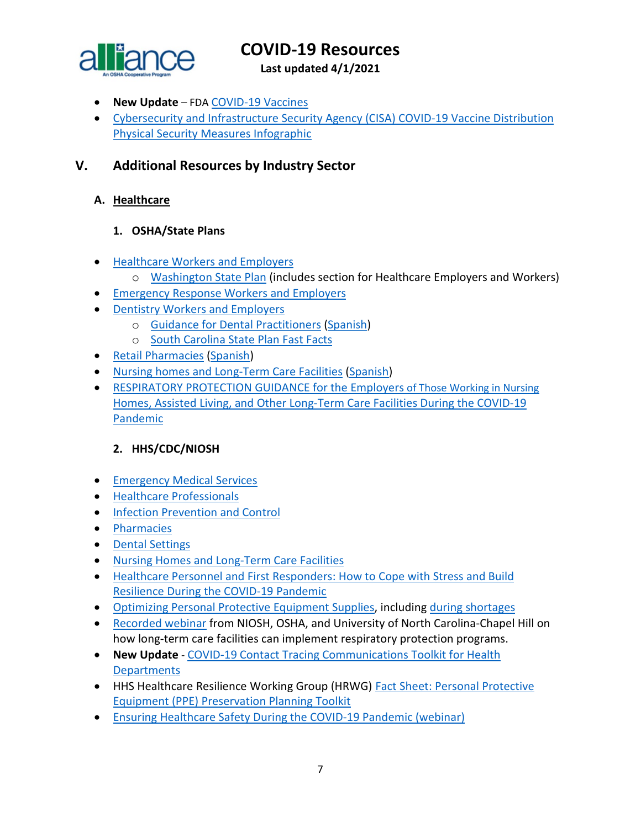

**Last updated 4/1/2021**

- **New Update** FDA [COVID-19 Vaccines](https://www.fda.gov/emergency-preparedness-and-response/coronavirus-disease-2019-covid-19/covid-19-vaccines)
- [Cybersecurity and Infrastructure Security Agency \(CISA\) COVID-19 Vaccine Distribution](https://www.cisa.gov/sites/default/files/publications/COVID-19_Vaccine_Distribution_Physical_Security_Measures_508.pdf)  [Physical Security Measures Infographic](https://www.cisa.gov/sites/default/files/publications/COVID-19_Vaccine_Distribution_Physical_Security_Measures_508.pdf)

## <span id="page-6-0"></span>**V. Additional Resources by Industry Sector**

#### <span id="page-6-1"></span>**A. Healthcare**

#### **1. OSHA/State Plans**

- [Healthcare Workers and Employers](https://www.osha.gov/SLTC/covid-19/healthcare-workers.html)
	- o [Washington State Plan](https://www.doh.wa.gov/Emergencies/NovelCoronavirusOutbreak2020COVID19/ResourcesandRecommendations) (includes section for Healthcare Employers and Workers)
- [Emergency Response Workers and Employers](https://www.osha.gov/SLTC/covid-19/emergency-response.html)
- [Dentistry Workers and Employers](https://www.osha.gov/SLTC/covid-19/dentistry.html)
	- o [Guidance for Dental Practitioners](https://www.osha.gov/Publications/OSHA4019.pdf) [\(Spanish\)](https://www.osha.gov/Publications/OSHA4020.pdf)
	- o [South Carolina State Plan Fast Facts](http://www.scosha.llronline.com/pdfs/2020/Covid19%20Fact%20Sheet.pdf)
- [Retail Pharmacies](https://www.osha.gov/Publications/OSHA4023.pdf) [\(Spanish\)](https://www.osha.gov/Publications/OSHA4024.pdf)
- [Nursing homes and Long-Term Care Facilities](https://www.osha.gov/Publications/OSHA4025.pdf) [\(Spanish\)](https://www.osha.gov/Publications/OSHA4026.pdf)
- [RESPIRATORY PROTECTION GUIDANCE for the Employers of Those Working in Nursing](https://www.osha.gov/sites/default/files/respiratory-protection-covid19-long-term-care.pdf)  [Homes, Assisted Living, and Other Long-Term Care Facilities During the COVID-19](https://www.osha.gov/sites/default/files/respiratory-protection-covid19-long-term-care.pdf)  [Pandemic](https://www.osha.gov/sites/default/files/respiratory-protection-covid19-long-term-care.pdf)

#### **2. HHS/CDC/NIOSH**

- [Emergency Medical Services](https://www.cdc.gov/coronavirus/2019-ncov/hcp/guidance-for-ems.html)
- [Healthcare Professionals](https://www.cdc.gov/coronavirus/2019-nCoV/hcp/index.html)
- [Infection Prevention and Control](https://www.cdc.gov/coronavirus/2019-ncov/hcp/infection-control-recommendations.html)
- [Pharmacies](https://www.cdc.gov/coronavirus/2019-ncov/hcp/pharmacies.html)
- [Dental Settings](https://www.cdc.gov/coronavirus/2019-ncov/hcp/dental-settings.html)
- [Nursing Homes and Long-Term Care Facilities](https://www.cdc.gov/coronavirus/2019-ncov/hcp/nursing-home-long-term-care.html)
- [Healthcare Personnel and First Responders: How to Cope with Stress and Build](https://www.cdc.gov/coronavirus/2019-ncov/community/mental-health-healthcare.html?deliveryName=USCDC_10_4-DM27902)  [Resilience During the COVID-19 Pandemic](https://www.cdc.gov/coronavirus/2019-ncov/community/mental-health-healthcare.html?deliveryName=USCDC_10_4-DM27902)
- [Optimizing Personal Protective Equipment Supplies,](https://www.cdc.gov/coronavirus/2019-ncov/hcp/ppe-strategy/index.html?deliveryName=USCDC_10_4-DM33299) including [during shortages](https://www.cdc.gov/coronavirus/2019-ncov/hcp/ppe-strategy/strategies-optimize-ppe-shortages.html)
- [Recorded](https://gcc02.safelinks.protection.outlook.com/?url=https%3A%2F%2Ft.emailupdates.cdc.gov%2Fr%2F%3Fid%3Dh28e36777%2C120d5047%2C120d7b6d&data=02%7C01%7CJones.Tina%40dol.gov%7Cd57c418e7ca1432a08b408d84061c3ee%7C75a6305472044e0c9126adab971d4aca%7C0%7C0%7C637330135927473111&sdata=XkiEu8j9gbuRoQSnwheU0OZBGa627ZX%2B1wHB3qjFEQk%3D&reserved=0) webinar from NIOSH, OSHA, and University of North Carolina-Chapel Hill on how long-term care facilities can implement respiratory protection programs.
- **New Update** [COVID-19 Contact Tracing Communications Toolkit for Health](https://www.cdc.gov/coronavirus/2019-ncov/php/contact-tracing-comms.html) **[Departments](https://www.cdc.gov/coronavirus/2019-ncov/php/contact-tracing-comms.html)**
- HHS Healthcare Resilience Working Group (HRWG) [Fact Sheet: Personal Protective](https://files.asprtracie.hhs.gov/documents/ppepp-toolkit-fact-sheet-hrwg.pdf)  [Equipment \(PPE\) Preservation Planning Toolkit](https://files.asprtracie.hhs.gov/documents/ppepp-toolkit-fact-sheet-hrwg.pdf)
- [Ensuring Healthcare Safety During the COVID-19 Pandemic \(webinar\)](https://asprtracie.hhs.gov/technical-resources/resource/8690/ensuring-healthcare-safety-throughout-the-covid-19-pandemic)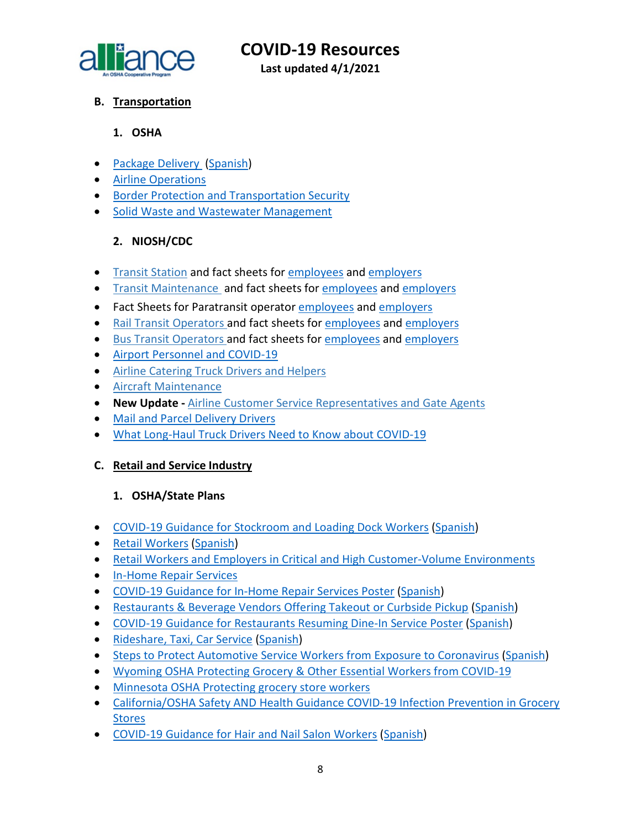

**Last updated 4/1/2021**

#### <span id="page-7-0"></span>**B. Transportation**

#### **1. OSHA**

- [Package Delivery](https://www.osha.gov/Publications/OSHA3998.pdf) [\(Spanish\)](https://www.osha.gov/Publications/OSHA3999.pdf)
- [Airline Operations](https://www.osha.gov/SLTC/covid-19/airline.html)
- [Border Protection and Transportation Security](https://www.osha.gov/SLTC/covid-19/border-protection-transportation-security.html)
- Solid [Waste and Wastewater Management](https://www.osha.gov/SLTC/covid-19/solid-waste-wastewater-mgmt.html)

### **2. NIOSH/CDC**

- [Transit Station](https://gcc01.safelinks.protection.outlook.com/?url=https%3A%2F%2Fwww.cdc.gov%2Fcoronavirus%2F2019-ncov%2Fcommunity%2Forganizations%2Ftransit-station-workers.html&data=02%7C01%7CLee.Joey.C%40dol.gov%7Cd3f028a2390845ad13b208d7e073765f%7C75a6305472044e0c9126adab971d4aca%7C0%7C0%7C637224658823402199&sdata=gqxR39aHbuIIXIFKdxcH5%2Fr0vh%2F%2F8kcprzxfnJYzU5c%3D&reserved=0) and fact sheets for [employees](https://www.cdc.gov/coronavirus/2019-ncov/community/organizations/transit-station-employees.html?deliveryName=USCDC_10_4-DM35438) and [employers](https://www.cdc.gov/coronavirus/2019-ncov/community/organizations/transit-station-workers.html?deliveryName=USCDC_10_4-DM35438)
- [Transit Maintenance](https://gcc01.safelinks.protection.outlook.com/?url=https%3A%2F%2Fwww.cdc.gov%2Fcoronavirus%2F2019-ncov%2Fcommunity%2Forganizations%2Ftransit-maintenance-worker.html&data=02%7C01%7CLee.Joey.C%40dol.gov%7Cd3f028a2390845ad13b208d7e073765f%7C75a6305472044e0c9126adab971d4aca%7C0%7C0%7C637224658823402199&sdata=j%2FUwewl%2FKQrbWd%2BDaUmUqfjBE5nOjDYRkHN05dJuJmM%3D&reserved=0) and fact sheets fo[r employees](https://www.cdc.gov/coronavirus/2019-ncov/community/organizations/transit-maintenance-employees.html?deliveryName=USCDC_10_4-DM35438) and [employers](https://www.cdc.gov/coronavirus/2019-ncov/community/organizations/transit-maintenance-worker.html?deliveryName=USCDC_10_4-DM35438)
- Fact Sheets for Paratransit operator [employees](https://www.cdc.gov/coronavirus/2019-ncov/community/organizations/paratransit-employees.html?deliveryName=USCDC_10_4-DM37810) and [employers](https://www.cdc.gov/coronavirus/2019-ncov/community/organizations/paratransit-employers.html?deliveryName=USCDC_10_4-DM37810)
- [Rail Transit Operators a](https://gcc01.safelinks.protection.outlook.com/?url=https%3A%2F%2Fwww.cdc.gov%2Fcoronavirus%2F2019-ncov%2Fcommunity%2Forganizations%2Frail-transit-operator.html&data=02%7C01%7CLee.Joey.C%40dol.gov%7Cd3f028a2390845ad13b208d7e073765f%7C75a6305472044e0c9126adab971d4aca%7C0%7C0%7C637224658823412157&sdata=Qn4BrDpf14FE29V6jS%2F6XeZ9sYQ1dThZP4p3YCPQo10%3D&reserved=0)nd fact sheets for [employees](https://www.cdc.gov/coronavirus/2019-ncov/community/organizations/rail-transit-employees.html?deliveryName=USCDC_10_4-DM35438) and [employers](https://www.cdc.gov/coronavirus/2019-ncov/community/organizations/rail-transit-operator.html?deliveryName=USCDC_10_4-DM35438)
- [Bus Transit Operators a](https://gcc01.safelinks.protection.outlook.com/?url=https%3A%2F%2Fwww.cdc.gov%2Fcoronavirus%2F2019-ncov%2Fcommunity%2Forganizations%2Fbus-transit-operator.html&data=02%7C01%7CLee.Joey.C%40dol.gov%7Cd3f028a2390845ad13b208d7e073765f%7C75a6305472044e0c9126adab971d4aca%7C0%7C0%7C637224658823412157&sdata=1LfVqpGfiPT8YHqVgmknweLGf51kxuB6CO3wyC%2FGVKY%3D&reserved=0)nd fact sheets for [employees](https://www.cdc.gov/coronavirus/2019-ncov/community/organizations/bus-transit-employees.html?deliveryName=USCDC_10_4-DM35438) and [employers](https://www.cdc.gov/coronavirus/2019-ncov/community/organizations/bus-transit-operator.html?deliveryName=USCDC_10_4-DM35438)
- [Airport Personnel and COVID-19](https://www.cdc.gov/coronavirus/2019-ncov/community/worker-safety-support/airports.html)
- [Airline Catering Truck Drivers and Helpers](https://gcc01.safelinks.protection.outlook.com/?url=https%3A%2F%2Fwww.cdc.gov%2Fcoronavirus%2F2019-ncov%2Fcommunity%2Forganizations%2Fairline-catering-truck-drivers.html&data=02%7C01%7CLee.Joey.C%40dol.gov%7Cd3f028a2390845ad13b208d7e073765f%7C75a6305472044e0c9126adab971d4aca%7C0%7C0%7C637224658823432069&sdata=nWmSKI0rQFZOEra72a5umFVE%2BgWhrOSYZet4aGSZDgI%3D&reserved=0)
- [Aircraft Maintenance](https://gcc01.safelinks.protection.outlook.com/?url=https%3A%2F%2Fwww.cdc.gov%2Fcoronavirus%2F2019-ncov%2Fcommunity%2Forganizations%2Faircraft-maintenance-workers.html&data=02%7C01%7CLee.Joey.C%40dol.gov%7Cd3f028a2390845ad13b208d7e073765f%7C75a6305472044e0c9126adab971d4aca%7C0%7C0%7C637224658823432069&sdata=aIi6sfP%2BuhQPcDVin8Ki4gAcFUYcBO6YyFQNymV0zTI%3D&reserved=0)
- **New Update -** [Airline Customer Service Representatives and Gate Agents](https://gcc01.safelinks.protection.outlook.com/?url=https%3A%2F%2Fwww.cdc.gov%2Fcoronavirus%2F2019-ncov%2Fcommunity%2Fairport-customer-factsheet.html&data=02%7C01%7CLee.Joey.C%40dol.gov%7Cd3f028a2390845ad13b208d7e073765f%7C75a6305472044e0c9126adab971d4aca%7C0%7C0%7C637224658823432069&sdata=xDeDkhBeqOtXLQNdSOPbiMVIKIRyIGdzKuobtpNN3kk%3D&reserved=0)
- [Mail and Parcel Delivery Drivers](https://www.cdc.gov/coronavirus/2019-ncov/community/organizations/mail-parcel-drivers.html)
- [What Long-Haul Truck Drivers Need to Know about COVID-19](https://www.cdc.gov/coronavirus/2019-ncov/community/organizations/long-haul-trucking.html?deliveryName=USCDC_10_4-DM27902)

#### <span id="page-7-1"></span>**C. Retail and Service Industry**

#### **1. OSHA/State Plans**

- [COVID-19 Guidance for Stockroom and Loading Dock Workers](https://www.osha.gov/Publications/OSHA4029.pdf) [\(Spanish\)](https://www.osha.gov/Publications/OSHA4030.pdf)
- [Retail Workers](https://www.osha.gov/Publications/OSHA3996.pdf) [\(Spanish\)](https://www.osha.gov/Publications/OSHA3997.pdf)
- [Retail Workers and Employers in Critical and High Customer-Volume Environments](https://www.osha.gov/SLTC/covid-19/retail.html)
- [In-Home Repair Services](https://www.osha.gov/SLTC/covid-19/in-home-repair.html)
- [COVID-19 Guidance for In-Home Repair Services Poster](https://www.osha.gov/Publications/OSHA4101.pdf) [\(Spanish\)](https://www.osha.gov/Publications/OSHA4102.pdf)
- [Restaurants & Beverage Vendors Offering Takeout or Curbside Pickup](https://www.osha.gov/Publications/OSHA4017.pdf) [\(Spanish\)](https://www.osha.gov/Publications/OSHA4018.pdf)
- [COVID-19 Guidance for Restaurants Resuming Dine-In Service Poster](https://www.osha.gov/Publications/OSHA4099.pdf) [\(Spanish\)](https://www.osha.gov/Publications/OSHA4100.pdf)
- [Rideshare, Taxi, Car Service](https://www.osha.gov/Publications/OSHA4021.pdf) [\(Spanish\)](https://www.osha.gov/Publications/OSHA4022.pdf)
- [Steps to Protect Automotive Service Workers from Exposure to Coronavirus](https://www.osha.gov/Publications/OSHA4070.pdf) [\(Spanish\)](https://www.osha.gov/Publications/OSHA4071.pdf)
- [Wyoming OSHA Protecting Grocery & Other Essential Workers from COVID-19](http://wyomingworkforce.org/news/2020-04-14a/)
- [Minnesota OSHA Protecting grocery store workers](https://staysafe.mn.gov/industry-guidance/grocery-and-convenience-stores.jsp)
- [California/OSHA Safety AND Health Guidance COVID-19 Infection Prevention in Grocery](https://www.dir.ca.gov/dosh/Coronavirus/COVID-19-Infection-Prevention-in-Grocery-Stores.pdf)  [Stores](https://www.dir.ca.gov/dosh/Coronavirus/COVID-19-Infection-Prevention-in-Grocery-Stores.pdf)
- [COVID-19 Guidance for Hair and Nail Salon Workers](https://www.osha.gov/Publications/OSHA4074.pdf) [\(Spanish\)](https://www.osha.gov/Publications/OSHA4075.pdf)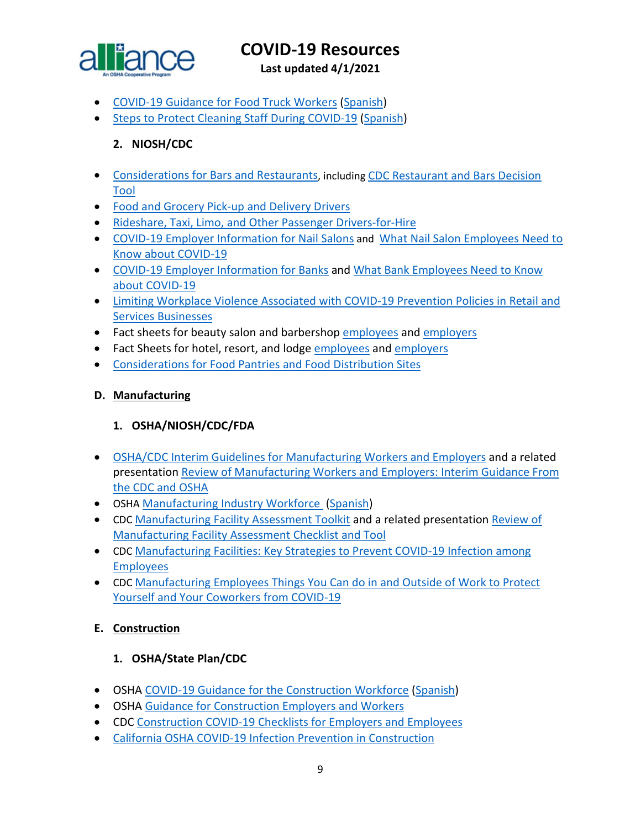

**Last updated 4/1/2021**

- [COVID-19 Guidance for Food Truck Workers](https://www.osha.gov/Publications/OSHA4076.pdf) [\(Spanish\)](https://www.osha.gov/Publications/OSHA4077.pdf)
- [Steps to Protect Cleaning Staff During COVID-19](https://www.osha.gov/Publications/OSHA4097.pdf) [\(Spanish\)](https://www.osha.gov/Publications/OSHA4098.pdf)

### **2. NIOSH/CDC**

- [Considerations for Bars and Restaurants,](https://www.cdc.gov/coronavirus/2019-ncov/community/organizations/business-employers/bars-restaurants.html) including [CDC Restaurant and Bars Decision](https://www.cdc.gov/coronavirus/2019-ncov/community/organizations/restaurants-and-bars-decision-tool.html)  [Tool](https://www.cdc.gov/coronavirus/2019-ncov/community/organizations/restaurants-and-bars-decision-tool.html)
- [Food and Grocery Pick-up and Delivery Drivers](https://www.cdc.gov/coronavirus/2019-ncov/community/organizations/food-grocery-drivers.html)
- [Rideshare, Taxi, Limo, and Other Passenger Drivers-for-Hire](https://www.cdc.gov/coronavirus/2019-ncov/community/organizations/rideshare-drivers-for-hire.html)
- [COVID-19 Employer Information for Nail Salons](https://www.cdc.gov/coronavirus/2019-ncov/community/organizations/nail-salon-employers.html?deliveryName=USCDC_10_4-DM30499) and [What Nail Salon Employees Need to](https://www.cdc.gov/coronavirus/2019-ncov/community/organizations/nail-salon-employees.html?deliveryName=USCDC_10_4-DM30499) [Know about COVID-19](https://www.cdc.gov/coronavirus/2019-ncov/community/organizations/nail-salon-employees.html?deliveryName=USCDC_10_4-DM30499)
- [COVID-19 Employer Information for Banks](https://www.cdc.gov/coronavirus/2019-ncov/community/organizations/bank-employers.html?deliveryName=USCDC_10_4-DM31748) and [What Bank Employees Need to Know](https://www.cdc.gov/coronavirus/2019-ncov/community/organizations/bank-employees.html?deliveryName=USCDC_10_4-DM31748)  [about COVID-19](https://www.cdc.gov/coronavirus/2019-ncov/community/organizations/bank-employees.html?deliveryName=USCDC_10_4-DM31748)
- [Limiting Workplace Violence Associated with COVID-19 Prevention Policies in Retail and](https://www.cdc.gov/coronavirus/2019-ncov/community/organizations/business-employers/limit-workplace-violence.html?deliveryName=USCDC_10_4-DM37106)  [Services Businesses](https://www.cdc.gov/coronavirus/2019-ncov/community/organizations/business-employers/limit-workplace-violence.html?deliveryName=USCDC_10_4-DM37106)
- Fact sheets for beauty salon and barbershop [employees](https://www.cdc.gov/coronavirus/2019-ncov/community/organizations/beauty-salon-barber-employees.html?deliveryName=USCDC_10_4-DM37106) and [employers](https://www.cdc.gov/coronavirus/2019-ncov/community/organizations/beauty-salon-barber-employers.html?deliveryName=USCDC_10_4-DM37106)
- Fact Sheets for hotel, resort, and lodge [employees](https://www.cdc.gov/coronavirus/2019-ncov/community/organizations/hotel-employees.html?deliveryName=USCDC_10_4-DM37810) and [employers](https://www.cdc.gov/coronavirus/2019-ncov/community/organizations/hotel-employers.html?deliveryName=USCDC_10_4-DM37810)
- [Considerations for Food Pantries and Food Distribution Sites](https://www.cdc.gov/coronavirus/2019-ncov/community/organizations/food-pantries.html)

#### <span id="page-8-0"></span>**D. Manufacturing**

#### **1. OSHA/NIOSH/CDC/FDA**

- [OSHA/CDC Interim Guidelines for Manufacturing Workers and Employers](https://www.cdc.gov/coronavirus/2019-ncov/community/guidance-manufacturing-workers-employers.html) and a related presentation [Review of Manufacturing Workers and Employers: Interim Guidance From](https://www.cdc.gov/coronavirus/2019-ncov/downloads/php/Manufacturing-Workers-Guidance-Overview.pdf)  [the CDC and OSHA](https://www.cdc.gov/coronavirus/2019-ncov/downloads/php/Manufacturing-Workers-Guidance-Overview.pdf)
- OSHA [Manufacturing Industry Workforce](https://www.osha.gov/Publications/OSHA4002.pdf) [\(Spanish\)](https://www.osha.gov/Publications/OSHA4003.pdf)
- CDC [Manufacturing Facility Assessment Toolkit](https://www.cdc.gov/coronavirus/2019-ncov/php/manufacturing-facilities-assessment-tool.html) and a related presentation [Review of](https://www.cdc.gov/coronavirus/2019-ncov/downloads/php/Manufacturing-Assessment-Tools-Overview.pdf)  [Manufacturing Facility Assessment Checklist and Tool](https://www.cdc.gov/coronavirus/2019-ncov/downloads/php/Manufacturing-Assessment-Tools-Overview.pdf)
- CDC [Manufacturing Facilities: Key Strategies to Prevent COVID-19 Infection among](https://www.cdc.gov/coronavirus/2019-ncov/downloads/community/manufacturing-companies-fs.pdf)  [Employees](https://www.cdc.gov/coronavirus/2019-ncov/downloads/community/manufacturing-companies-fs.pdf)
- CDC [Manufacturing Employees Things You Can do in and Outside of Work to Protect](https://www.cdc.gov/coronavirus/2019-ncov/downloads/community/manufacturing-employees-fs.pdf)  [Yourself and Your Coworkers from COVID-19](https://www.cdc.gov/coronavirus/2019-ncov/downloads/community/manufacturing-employees-fs.pdf)

#### <span id="page-8-1"></span>**E. Construction**

#### **1. OSHA/State Plan/CDC**

- OSHA [COVID-19 Guidance for the Construction Workforce](https://www.osha.gov/Publications/OSHA4000.pdf) [\(Spanish\)](https://www.osha.gov/Publications/OSHA4001.pdf)
- OSHA [Guidance for Construction Employers and Workers](https://www.osha.gov/SLTC/covid-19/construction.html)
- CDC [Construction COVID-19 Checklists for Employers and Employees](https://www.cdc.gov/coronavirus/2019-ncov/community/organizations/construction-worker-checklists.html)
- [California OSHA COVID-19 Infection Prevention in Construction](https://www.dir.ca.gov/dosh/coronavirus/COVID-19-Infection-Prevention-in-Construction.pdf)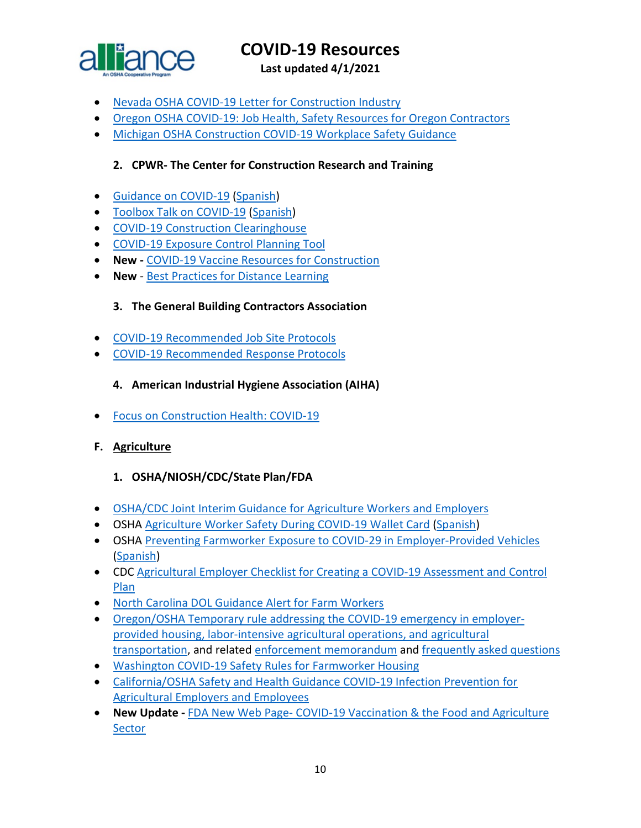

**Last updated 4/1/2021**

- Nevada OSHA [COVID-19 Letter for Construction Industry](http://dir.nv.gov/uploadedFiles/dirnvgov/content/home/AssessmentsDocs/OSHA%20COVID%2019%20Letter%20for%20Construction%20Industry.pdf)
- Oregon OSHA [COVID-19: Job Health, Safety Resources for Oregon Contractors](https://osha.oregon.gov/Documents/COVID19-orosha-ccb-contractors.pdf)
- [Michigan OSHA Construction COVID-19 Workplace Safety Guidance](https://www.michigan.gov/leo/0,5863,7-336-100207_101283---,00.html)

#### **2. CPWR- The Center for Construction Research and Training**

- [Guidance on COVID-19](https://www.cpwr.com/wp-content/uploads/publications/NABTU_CPWR_Standards_COVID-19.pdf) [\(Spanish\)](https://www.cpwr.com/sites/default/files/CPWR_Guidance_on_COVID_SPANISH.pdf)
- [Toolbox Talk on COVID-19](https://www.cpwr.com/sites/default/files/publications/TT-COVID-19.pdf) [\(Spanish\)](https://www.cpwr.com/wp-content/uploads/publications/NABTU_CPWR_Standards_COVID-19_Spanish.pdf)
- [COVID-19 Construction Clearinghouse](http://covid.elcosh.org/index.php)
- COVID-19 [Exposure Control Planning Tool](https://www.covidcpwr.org/)
- **New -** [COVID-19 Vaccine Resources for Construction](https://www.cpwr.com/covid-19-resources/covid-19-vaccine-resources/)
- **New** [Best Practices for Distance Learning](https://www.cpwr.com/research/research-to-practice-r2p/r2p-library/other-resources-for-stakeholders/best-practices-for-distance-learning/)

#### **3. The General Building Contractors Association**

- [COVID-19 Recommended Job Site Protocols](https://gbca.com/wp-content/uploads/2020/05/2020.05.29-Job-Site-Protocol-Combined-with-Signatures.pdf)
- [COVID-19 Recommended Response Protocols](https://gbca.com/wp-content/uploads/2020/07/2020.07.09-Response-Protocols-EAS-and-BTC-combined-for-web.pdf)

#### **4. American Industrial Hygiene Association (AIHA)**

• [Focus on Construction Health: COVID-19](https://aiha-assets.sfo2.digitaloceanspaces.com/AIHA/resources/Guidance-Documents/Focus-on-Construction-Health-COVID-19_AIHAGuidanceDocument.pdf)

#### <span id="page-9-0"></span>**F. Agriculture**

#### **1. OSHA/NIOSH/CDC/State Plan/FDA**

- [OSHA/CDC Joint Interim Guidance for Agriculture Workers and Employers](https://www.cdc.gov/coronavirus/2019-ncov/community/guidance-agricultural-workers.html)
- OSHA [Agriculture Worker Safety During COVID-19 Wallet Card](https://www.osha.gov/Publications/OSHA4069.pdf) [\(Spanish\)](https://www.osha.gov/Publications/OSHA4069SP.pdf)
- OSHA [Preventing Farmworker Exposure to COVID-29 in Employer-Provided Vehicles](https://www.osha.gov/Publications/OSHA4107.pdf) [\(Spanish\)](https://www.osha.gov/Publications/OSHA4108.pdf)
- CDC [Agricultural Employer Checklist for Creating a COVID-19 Assessment and Control](https://www.cdc.gov/coronavirus/2019-ncov/community/pdf/Agricultural-Employer-checklist.pdf?deliveryName=USCDC_10_4-DM31187)  [Plan](https://www.cdc.gov/coronavirus/2019-ncov/community/pdf/Agricultural-Employer-checklist.pdf?deliveryName=USCDC_10_4-DM31187)
- [North Carolina DOL Guidance Alert for Farm Workers](https://files.nc.gov/ncdol/documents/files/ASH-COVID-19_0.pdf)
- [Oregon/OSHA Temporary rule addressing the COVID-19 emergency in employer](https://osha.oregon.gov/OSHARules/adopted/2020/ao2-2020-text-emergency-rules-ag-covid.pdf)[provided housing, labor-intensive agricultural operations, and agricultural](https://osha.oregon.gov/OSHARules/adopted/2020/ao2-2020-text-emergency-rules-ag-covid.pdf)  [transportation,](https://osha.oregon.gov/OSHARules/adopted/2020/ao2-2020-text-emergency-rules-ag-covid.pdf) and related [enforcement memorandum](https://osha.oregon.gov/OSHARules/adopted/2020/ao2-2020-enforcement-delay-memo.pdf) and [frequently asked questions](https://osha.oregon.gov/Documents/COVID-19-Emergency-Ag-Rule-Q-A.pdf)
- [Washington COVID-19 Safety Rules for Farmworker Housing](https://www.lni.wa.gov/rulemaking-activity/AO20-09/2009CR103EAdoption.pdf?utm_medium=email&utm_source=govdelivery)
- [California/OSHA Safety and Health Guidance COVID-19 Infection Prevention for](https://www.dir.ca.gov/dosh/Coronavirus/COVID-19-Infection-Prevention-in-Agriculture.pdf)  [Agricultural Employers and Employees](https://www.dir.ca.gov/dosh/Coronavirus/COVID-19-Infection-Prevention-in-Agriculture.pdf)
- **New Update -** FDA New Web Page- [COVID-19 Vaccination & the Food and Agriculture](https://www.fda.gov/food/food-safety-during-emergencies/covid-19-vaccination-food-and-agriculture-sector?utm_medium=email&utm_source=govdelivery)  **[Sector](https://www.fda.gov/food/food-safety-during-emergencies/covid-19-vaccination-food-and-agriculture-sector?utm_medium=email&utm_source=govdelivery)**